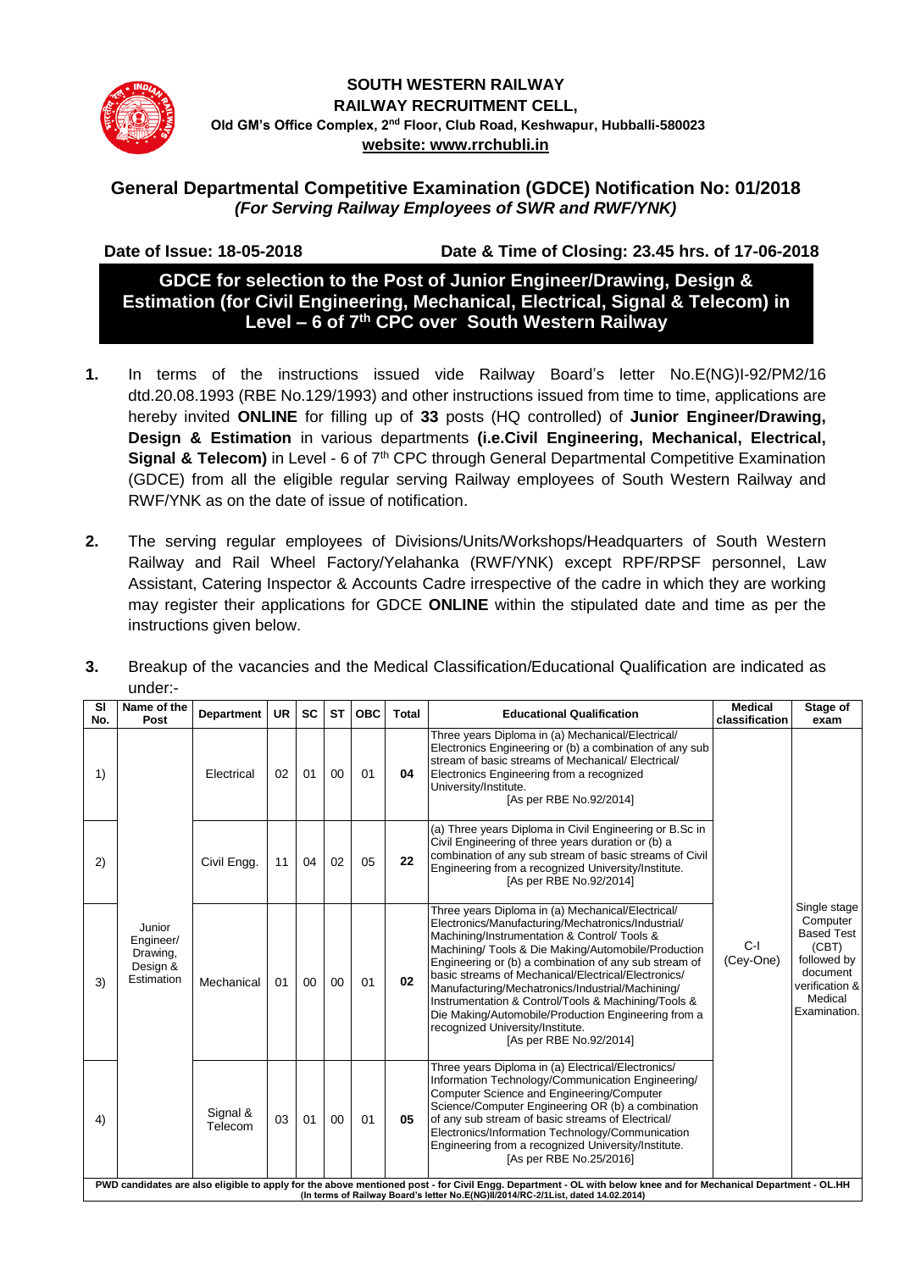

# **SOUTH WESTERN RAILWAY RAILWAY RECRUITMENT CELL, Old GM's Office Complex, 2nd Floor, Club Road, Keshwapur, Hubballi-580023 website: www.rrchubli.in**

# **General Departmental Competitive Examination (GDCE) Notification No: 01/2018** *(For Serving Railway Employees of SWR and RWF/YNK)*

 **Date of Issue: 18-05-2018 Date & Time of Closing: 23.45 hrs. of 17-06-2018**

**GDCE for selection to the Post of Junior Engineer/Drawing, Design & Estimation (for Civil Engineering, Mechanical, Electrical, Signal & Telecom) in Level – 6 of 7 th CPC over South Western Railway**

- **1.** In terms of the instructions issued vide Railway Board's letter No.E(NG)I-92/PM2/16 dtd.20.08.1993 (RBE No.129/1993) and other instructions issued from time to time, applications are hereby invited **ONLINE** for filling up of **33** posts (HQ controlled) of **Junior Engineer/Drawing, Design & Estimation** in various departments **(i.e.Civil Engineering, Mechanical, Electrical,**  Signal & Telecom) in Level - 6 of 7<sup>th</sup> CPC through General Departmental Competitive Examination (GDCE) from all the eligible regular serving Railway employees of South Western Railway and RWF/YNK as on the date of issue of notification.
- **2.** The serving regular employees of Divisions/Units/Workshops/Headquarters of South Western Railway and Rail Wheel Factory/Yelahanka (RWF/YNK) except RPF/RPSF personnel, Law Assistant, Catering Inspector & Accounts Cadre irrespective of the cadre in which they are working may register their applications for GDCE **ONLINE** within the stipulated date and time as per the instructions given below.

| <b>SI</b><br>No. | Name of the<br>Post                                                                                                                                                                                                                                 | <b>Department</b>   | <b>UR</b> | <b>SC</b> | <b>ST</b> | <b>OBC</b> | Total | <b>Educational Qualification</b>                                                                                                                                                                                                                                                                                                                                                                                                                                                                                                                                | <b>Medical</b><br>classification | Stage of<br>exam                                                                                                               |
|------------------|-----------------------------------------------------------------------------------------------------------------------------------------------------------------------------------------------------------------------------------------------------|---------------------|-----------|-----------|-----------|------------|-------|-----------------------------------------------------------------------------------------------------------------------------------------------------------------------------------------------------------------------------------------------------------------------------------------------------------------------------------------------------------------------------------------------------------------------------------------------------------------------------------------------------------------------------------------------------------------|----------------------------------|--------------------------------------------------------------------------------------------------------------------------------|
| 1)               |                                                                                                                                                                                                                                                     | Electrical          | 02        | 01        | 00        | 01         | 04    | Three years Diploma in (a) Mechanical/Electrical/<br>Electronics Engineering or (b) a combination of any sub<br>stream of basic streams of Mechanical/ Electrical/<br>Electronics Engineering from a recognized<br>University/Institute.<br>[As per RBE No.92/2014]                                                                                                                                                                                                                                                                                             |                                  |                                                                                                                                |
| 2)               |                                                                                                                                                                                                                                                     | Civil Engg.         | 11        | 04        | 02        | 05         | 22    | (a) Three years Diploma in Civil Engineering or B.Sc in<br>Civil Engineering of three years duration or (b) a<br>combination of any sub stream of basic streams of Civil<br>Engineering from a recognized University/Institute.<br>[As per RBE No.92/2014]                                                                                                                                                                                                                                                                                                      |                                  |                                                                                                                                |
| 3)               | Junior<br>Engineer/<br>Drawing,<br>Design &<br>Estimation                                                                                                                                                                                           | Mechanical          | 01        | $00\,$    | 00        | 01         | 02    | Three years Diploma in (a) Mechanical/Electrical/<br>Electronics/Manufacturing/Mechatronics/Industrial/<br>Machining/Instrumentation & Control/ Tools &<br>Machining/ Tools & Die Making/Automobile/Production<br>Engineering or (b) a combination of any sub stream of<br>basic streams of Mechanical/Electrical/Electronics/<br>Manufacturing/Mechatronics/Industrial/Machining/<br>Instrumentation & Control/Tools & Machining/Tools &<br>Die Making/Automobile/Production Engineering from a<br>recognized University/Institute.<br>[As per RBE No.92/2014] | $C-I$<br>(Cey-One)               | Single stage<br>Computer<br><b>Based Test</b><br>(CBT)<br>followed by<br>document<br>verification &<br>Medical<br>Examination. |
| 4)               |                                                                                                                                                                                                                                                     | Signal &<br>Telecom | 03        | 01        | 00        | 01         | 05    | Three years Diploma in (a) Electrical/Electronics/<br>Information Technology/Communication Engineering/<br>Computer Science and Engineering/Computer<br>Science/Computer Engineering OR (b) a combination<br>of any sub stream of basic streams of Electrical/<br>Electronics/Information Technology/Communication<br>Engineering from a recognized University/Institute.<br>[As per RBE No.25/2016]                                                                                                                                                            |                                  |                                                                                                                                |
|                  | PWD candidates are also eligible to apply for the above mentioned post - for Civil Engg. Department - OL with below knee and for Mechanical Department - OL.HH<br>(In terms of Railway Board's letter No.E(NG)II/2014/RC-2/1List, dated 14.02.2014) |                     |           |           |           |            |       |                                                                                                                                                                                                                                                                                                                                                                                                                                                                                                                                                                 |                                  |                                                                                                                                |

**3.** Breakup of the vacancies and the Medical Classification/Educational Qualification are indicated as under:-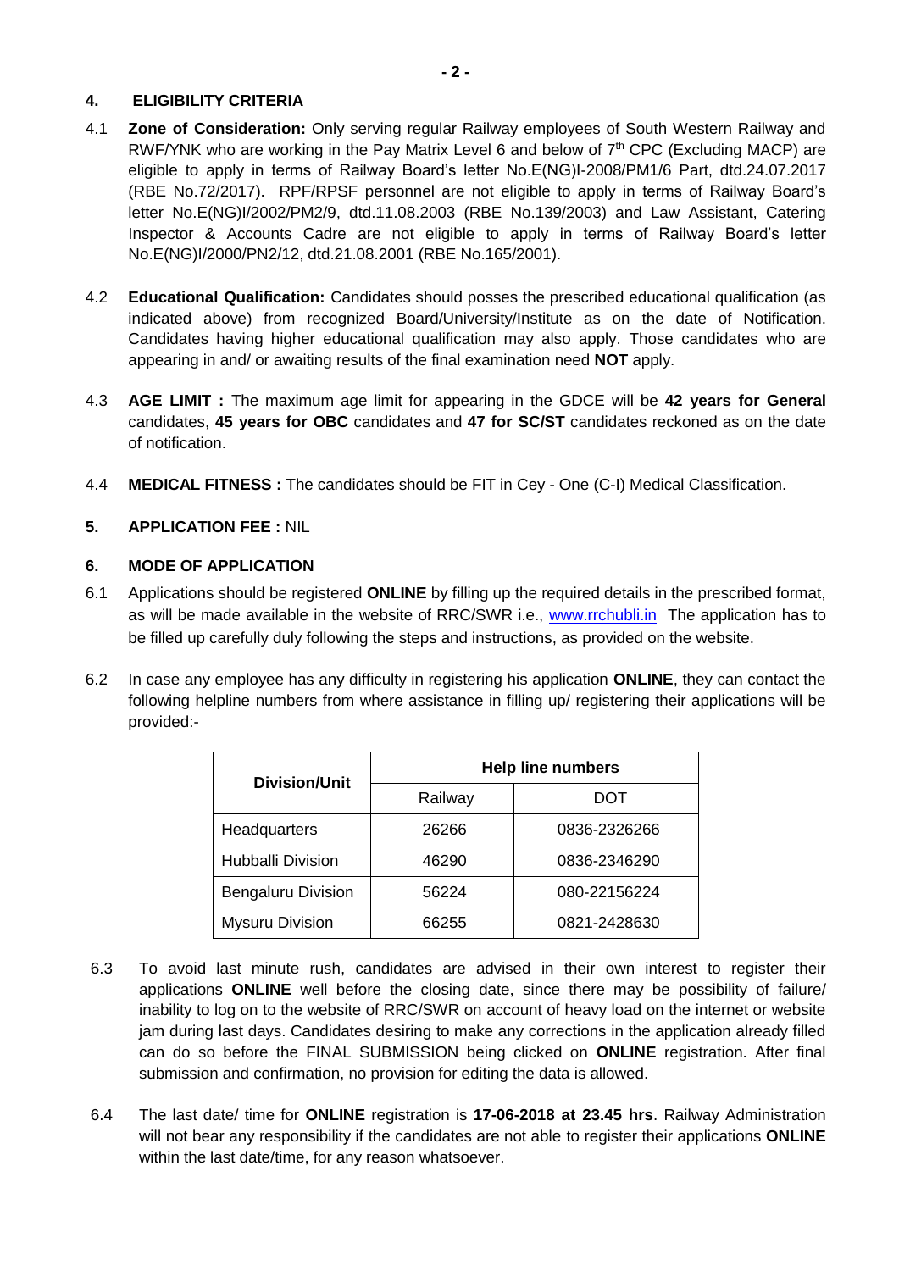# **4. ELIGIBILITY CRITERIA**

- 4.1 **Zone of Consideration:** Only serving regular Railway employees of South Western Railway and RWF/YNK who are working in the Pay Matrix Level 6 and below of 7<sup>th</sup> CPC (Excluding MACP) are eligible to apply in terms of Railway Board's letter No.E(NG)I-2008/PM1/6 Part, dtd.24.07.2017 (RBE No.72/2017). RPF/RPSF personnel are not eligible to apply in terms of Railway Board's letter No.E(NG)I/2002/PM2/9, dtd.11.08.2003 (RBE No.139/2003) and Law Assistant, Catering Inspector & Accounts Cadre are not eligible to apply in terms of Railway Board's letter No.E(NG)I/2000/PN2/12, dtd.21.08.2001 (RBE No.165/2001).
- 4.2 **Educational Qualification:** Candidates should posses the prescribed educational qualification (as indicated above) from recognized Board/University/Institute as on the date of Notification. Candidates having higher educational qualification may also apply. Those candidates who are appearing in and/ or awaiting results of the final examination need **NOT** apply.
- 4.3 **AGE LIMIT :** The maximum age limit for appearing in the GDCE will be **42 years for General** candidates, **45 years for OBC** candidates and **47 for SC/ST** candidates reckoned as on the date of notification.
- 4.4 **MEDICAL FITNESS :** The candidates should be FIT in Cey One (C-I) Medical Classification.

# **5. APPLICATION FEE :** NIL

#### **6. MODE OF APPLICATION**

- 6.1 Applications should be registered **ONLINE** by filling up the required details in the prescribed format, as will be made available in the website of RRC/SWR i.e., [www.rrchubli.in](http://www.rrchubli.in/) The application has to be filled up carefully duly following the steps and instructions, as provided on the website.
- 6.2 In case any employee has any difficulty in registering his application **ONLINE**, they can contact the following helpline numbers from where assistance in filling up/ registering their applications will be provided:-

| Division/Unit             | <b>Help line numbers</b> |              |  |  |
|---------------------------|--------------------------|--------------|--|--|
|                           | Railway                  | DOT          |  |  |
| Headquarters              | 26266                    | 0836-2326266 |  |  |
| <b>Hubballi Division</b>  | 46290                    | 0836-2346290 |  |  |
| <b>Bengaluru Division</b> | 56224                    | 080-22156224 |  |  |
| <b>Mysuru Division</b>    | 66255                    | 0821-2428630 |  |  |

- 6.3 To avoid last minute rush, candidates are advised in their own interest to register their applications **ONLINE** well before the closing date, since there may be possibility of failure/ inability to log on to the website of RRC/SWR on account of heavy load on the internet or website jam during last days. Candidates desiring to make any corrections in the application already filled can do so before the FINAL SUBMISSION being clicked on **ONLINE** registration. After final submission and confirmation, no provision for editing the data is allowed.
- 6.4 The last date/ time for **ONLINE** registration is **17-06-2018 at 23.45 hrs**. Railway Administration will not bear any responsibility if the candidates are not able to register their applications **ONLINE** within the last date/time, for any reason whatsoever.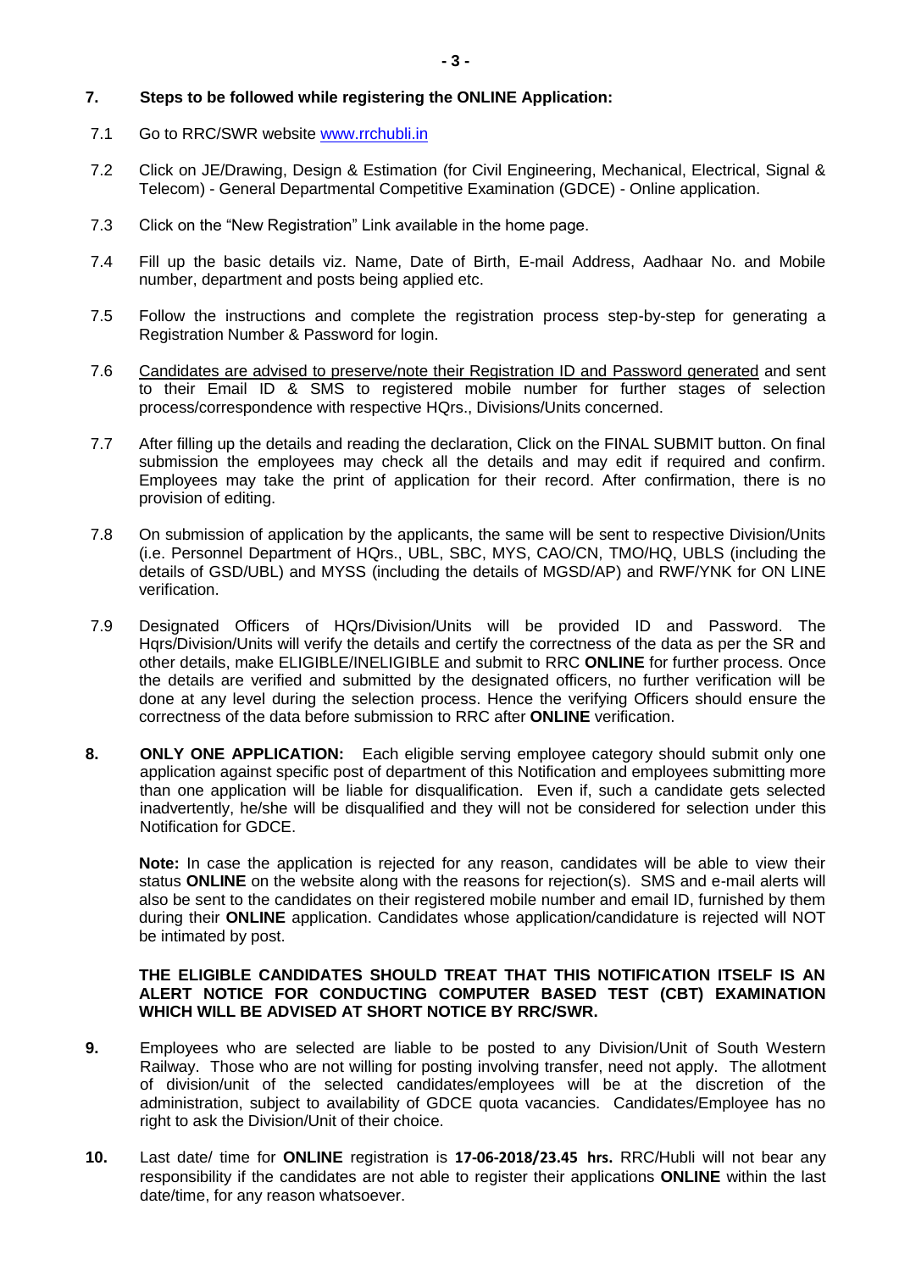# **7. Steps to be followed while registering the ONLINE Application:**

- 7.1 Go to RRC/SWR website [www.rrchubli.in](http://www.rrchubli.in/)
- 7.2 Click on JE/Drawing, Design & Estimation (for Civil Engineering, Mechanical, Electrical, Signal & Telecom) - General Departmental Competitive Examination (GDCE) - Online application.
- 7.3 Click on the "New Registration" Link available in the home page.
- 7.4 Fill up the basic details viz. Name, Date of Birth, E-mail Address, Aadhaar No. and Mobile number, department and posts being applied etc.
- 7.5 Follow the instructions and complete the registration process step-by-step for generating a Registration Number & Password for login.
- 7.6 Candidates are advised to preserve/note their Registration ID and Password generated and sent to their Email ID & SMS to registered mobile number for further stages of selection process/correspondence with respective HQrs., Divisions/Units concerned.
- 7.7 After filling up the details and reading the declaration, Click on the FINAL SUBMIT button. On final submission the employees may check all the details and may edit if required and confirm. Employees may take the print of application for their record. After confirmation, there is no provision of editing.
- 7.8 On submission of application by the applicants, the same will be sent to respective Division/Units (i.e. Personnel Department of HQrs., UBL, SBC, MYS, CAO/CN, TMO/HQ, UBLS (including the details of GSD/UBL) and MYSS (including the details of MGSD/AP) and RWF/YNK for ON LINE verification.
- 7.9 Designated Officers of HQrs/Division/Units will be provided ID and Password. The Hqrs/Division/Units will verify the details and certify the correctness of the data as per the SR and other details, make ELIGIBLE/INELIGIBLE and submit to RRC **ONLINE** for further process. Once the details are verified and submitted by the designated officers, no further verification will be done at any level during the selection process. Hence the verifying Officers should ensure the correctness of the data before submission to RRC after **ONLINE** verification.
- **8. ONLY ONE APPLICATION:** Each eligible serving employee category should submit only one application against specific post of department of this Notification and employees submitting more than one application will be liable for disqualification. Even if, such a candidate gets selected inadvertently, he/she will be disqualified and they will not be considered for selection under this Notification for GDCE.

**Note:** In case the application is rejected for any reason, candidates will be able to view their status **ONLINE** on the website along with the reasons for rejection(s). SMS and e-mail alerts will also be sent to the candidates on their registered mobile number and email ID, furnished by them during their **ONLINE** application. Candidates whose application/candidature is rejected will NOT be intimated by post.

#### **THE ELIGIBLE CANDIDATES SHOULD TREAT THAT THIS NOTIFICATION ITSELF IS AN ALERT NOTICE FOR CONDUCTING COMPUTER BASED TEST (CBT) EXAMINATION WHICH WILL BE ADVISED AT SHORT NOTICE BY RRC/SWR.**

- **9.** Employees who are selected are liable to be posted to any Division/Unit of South Western Railway. Those who are not willing for posting involving transfer, need not apply. The allotment of division/unit of the selected candidates/employees will be at the discretion of the administration, subject to availability of GDCE quota vacancies. Candidates/Employee has no right to ask the Division/Unit of their choice.
- **10.** Last date/ time for **ONLINE** registration is **17-06-2018/23.45 hrs.** RRC/Hubli will not bear any responsibility if the candidates are not able to register their applications **ONLINE** within the last date/time, for any reason whatsoever.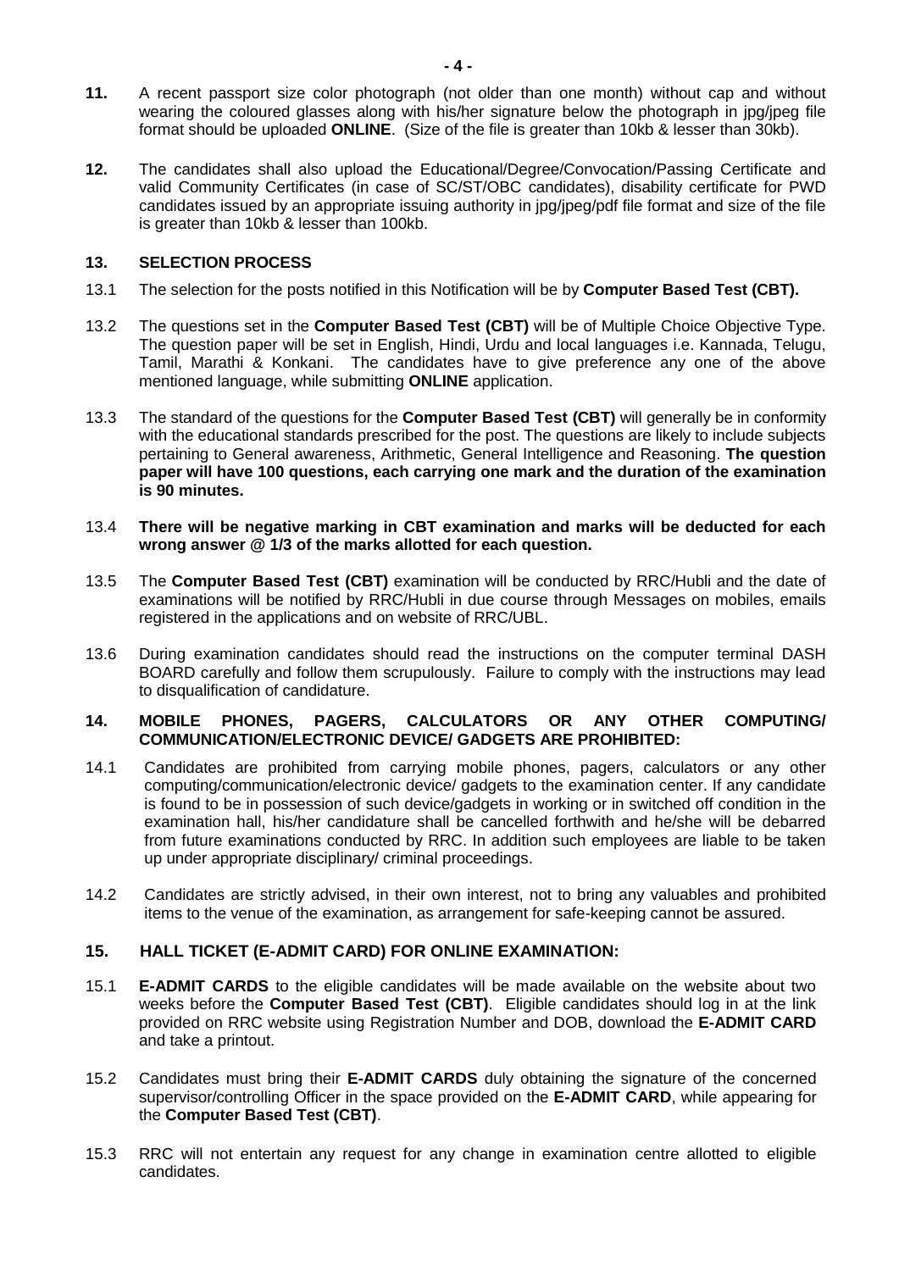- **11.** A recent passport size color photograph (not older than one month) without cap and without wearing the coloured glasses along with his/her signature below the photograph in jpg/jpeg file format should be uploaded **ONLINE**. (Size of the file is greater than 10kb & lesser than 30kb).
- **12.** The candidates shall also upload the Educational/Degree/Convocation/Passing Certificate and valid Community Certificates (in case of SC/ST/OBC candidates), disability certificate for PWD candidates issued by an appropriate issuing authority in jpg/jpeg/pdf file format and size of the file is greater than 10kb & lesser than 100kb.

# **13. SELECTION PROCESS**

- 13.1 The selection for the posts notified in this Notification will be by **Computer Based Test (CBT).**
- 13.2 The questions set in the **Computer Based Test (CBT)** will be of Multiple Choice Objective Type. The question paper will be set in English, Hindi, Urdu and local languages i.e. Kannada, Telugu, Tamil, Marathi & Konkani. The candidates have to give preference any one of the above mentioned language, while submitting **ONLINE** application.
- 13.3 The standard of the questions for the **Computer Based Test (CBT)** will generally be in conformity with the educational standards prescribed for the post. The questions are likely to include subjects pertaining to General awareness, Arithmetic, General Intelligence and Reasoning. **The question paper will have 100 questions, each carrying one mark and the duration of the examination is 90 minutes.**
- 13.4 **There will be negative marking in CBT examination and marks will be deducted for each wrong answer @ 1/3 of the marks allotted for each question.**
- 13.5 The **Computer Based Test (CBT)** examination will be conducted by RRC/Hubli and the date of examinations will be notified by RRC/Hubli in due course through Messages on mobiles, emails registered in the applications and on website of RRC/UBL.
- 13.6 During examination candidates should read the instructions on the computer terminal DASH BOARD carefully and follow them scrupulously. Failure to comply with the instructions may lead to disqualification of candidature.

#### **14. MOBILE PHONES, PAGERS, CALCULATORS OR ANY OTHER COMPUTING/ COMMUNICATION/ELECTRONIC DEVICE/ GADGETS ARE PROHIBITED:**

- 14.1 Candidates are prohibited from carrying mobile phones, pagers, calculators or any other computing/communication/electronic device/ gadgets to the examination center. If any candidate is found to be in possession of such device/gadgets in working or in switched off condition in the examination hall, his/her candidature shall be cancelled forthwith and he/she will be debarred from future examinations conducted by RRC. In addition such employees are liable to be taken up under appropriate disciplinary/ criminal proceedings.
- 14.2 Candidates are strictly advised, in their own interest, not to bring any valuables and prohibited items to the venue of the examination, as arrangement for safe-keeping cannot be assured.

# **15. HALL TICKET (E-ADMIT CARD) FOR ONLINE EXAMINATION:**

- 15.1 **E-ADMIT CARDS** to the eligible candidates will be made available on the website about two weeks before the **Computer Based Test (CBT)**. Eligible candidates should log in at the link provided on RRC website using Registration Number and DOB, download the **E-ADMIT CARD** and take a printout.
- 15.2 Candidates must bring their **E-ADMIT CARDS** duly obtaining the signature of the concerned supervisor/controlling Officer in the space provided on the **E-ADMIT CARD**, while appearing for the **Computer Based Test (CBT)**.
- 15.3 RRC will not entertain any request for any change in examination centre allotted to eligible candidates.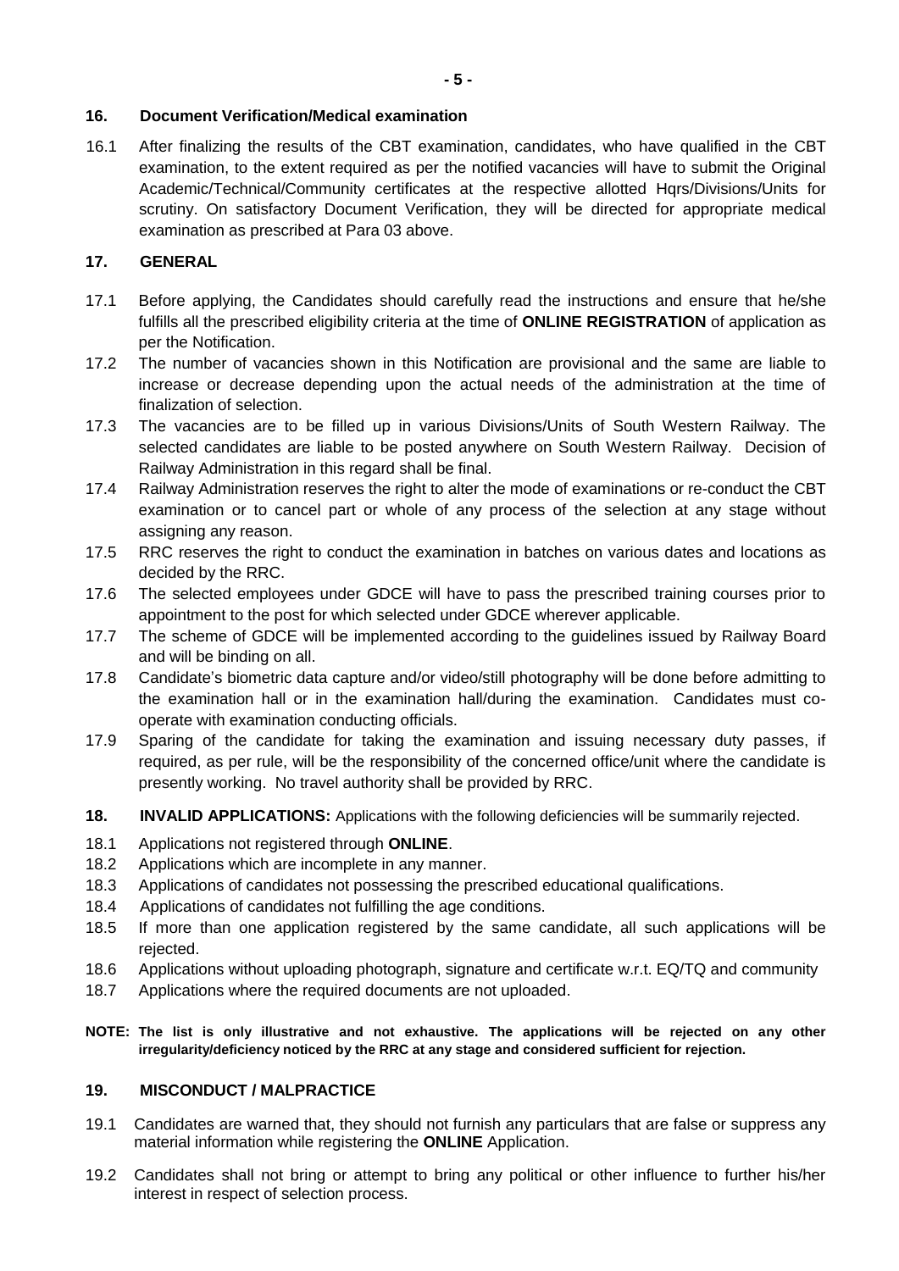# **16. Document Verification/Medical examination**

16.1 After finalizing the results of the CBT examination, candidates, who have qualified in the CBT examination, to the extent required as per the notified vacancies will have to submit the Original Academic/Technical/Community certificates at the respective allotted Hqrs/Divisions/Units for scrutiny. On satisfactory Document Verification, they will be directed for appropriate medical examination as prescribed at Para 03 above.

# **17. GENERAL**

- 17.1 Before applying, the Candidates should carefully read the instructions and ensure that he/she fulfills all the prescribed eligibility criteria at the time of **ONLINE REGISTRATION** of application as per the Notification.
- 17.2 The number of vacancies shown in this Notification are provisional and the same are liable to increase or decrease depending upon the actual needs of the administration at the time of finalization of selection.
- 17.3 The vacancies are to be filled up in various Divisions/Units of South Western Railway. The selected candidates are liable to be posted anywhere on South Western Railway. Decision of Railway Administration in this regard shall be final.
- 17.4 Railway Administration reserves the right to alter the mode of examinations or re-conduct the CBT examination or to cancel part or whole of any process of the selection at any stage without assigning any reason.
- 17.5 RRC reserves the right to conduct the examination in batches on various dates and locations as decided by the RRC.
- 17.6 The selected employees under GDCE will have to pass the prescribed training courses prior to appointment to the post for which selected under GDCE wherever applicable.
- 17.7 The scheme of GDCE will be implemented according to the guidelines issued by Railway Board and will be binding on all.
- 17.8 Candidate's biometric data capture and/or video/still photography will be done before admitting to the examination hall or in the examination hall/during the examination. Candidates must cooperate with examination conducting officials.
- 17.9 Sparing of the candidate for taking the examination and issuing necessary duty passes, if required, as per rule, will be the responsibility of the concerned office/unit where the candidate is presently working. No travel authority shall be provided by RRC.
- **18. INVALID APPLICATIONS:** Applications with the following deficiencies will be summarily rejected.
- 18.1 Applications not registered through **ONLINE**.
- 18.2 Applications which are incomplete in any manner.
- 18.3 Applications of candidates not possessing the prescribed educational qualifications.
- 18.4 Applications of candidates not fulfilling the age conditions.
- 18.5 If more than one application registered by the same candidate, all such applications will be rejected.
- 18.6 Applications without uploading photograph, signature and certificate w.r.t. EQ/TQ and community
- 18.7 Applications where the required documents are not uploaded.
- **NOTE: The list is only illustrative and not exhaustive. The applications will be rejected on any other irregularity/deficiency noticed by the RRC at any stage and considered sufficient for rejection.**

# **19. MISCONDUCT / MALPRACTICE**

- 19.1 Candidates are warned that, they should not furnish any particulars that are false or suppress any material information while registering the **ONLINE** Application.
- 19.2 Candidates shall not bring or attempt to bring any political or other influence to further his/her interest in respect of selection process.